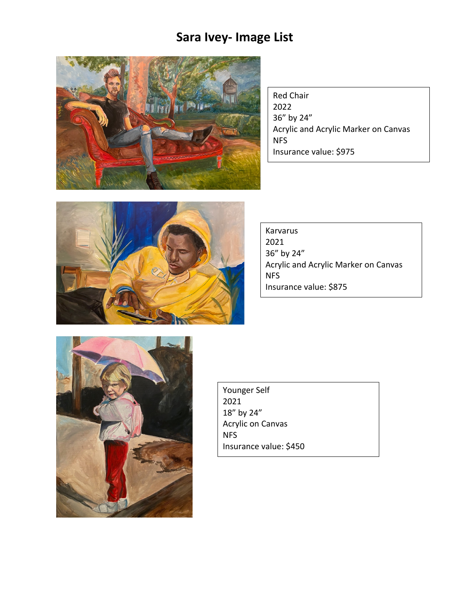# **Sara Ivey- Image List**



Red Chair 2022 36" by 24" Acrylic and Acrylic Marker on Canvas NFS Insurance value: \$975



Karvarus 2021 36" by 24" Acrylic and Acrylic Marker on Canvas NFS Insurance value: \$875



Younger Self 2021 18" by 24" Acrylic on Canvas NFS Insurance value: \$450